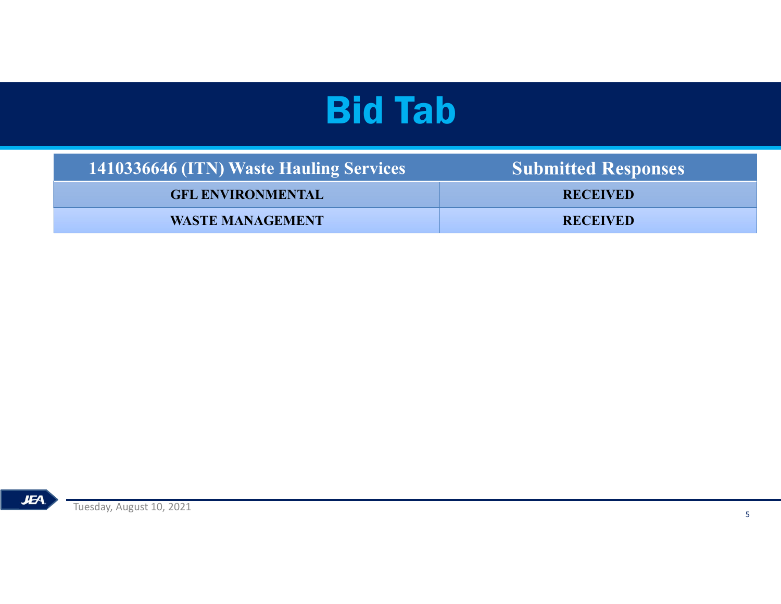| <b>Bid Tab</b> |                                         |                            |  |
|----------------|-----------------------------------------|----------------------------|--|
|                | 1410336646 (ITN) Waste Hauling Services | <b>Submitted Responses</b> |  |
|                | <b>GFL ENVIRONMENTAL</b>                | <b>RECEIVED</b>            |  |
|                | <b>WASTE MANAGEMENT</b>                 | <b>RECEIVED</b>            |  |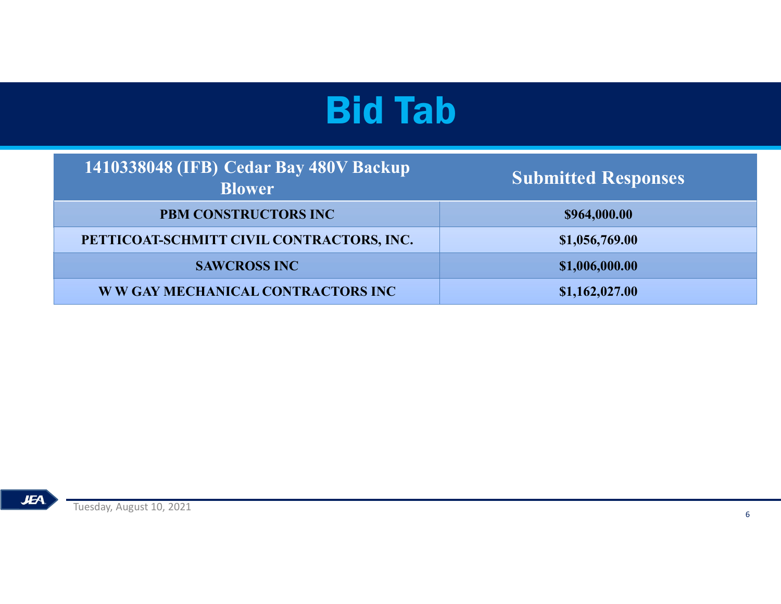| <b>Bid Tab</b>                                          |                            |  |  |  |
|---------------------------------------------------------|----------------------------|--|--|--|
| 1410338048 (IFB) Cedar Bay 480V Backup<br><b>Blower</b> | <b>Submitted Responses</b> |  |  |  |
| PBM CONSTRUCTORS INC                                    | \$964,000.00               |  |  |  |
| PETTICOAT-SCHMITT CIVIL CONTRACTORS, INC.               | \$1,056,769.00             |  |  |  |
|                                                         |                            |  |  |  |
| <b>SAWCROSS INC</b>                                     | \$1,006,000.00             |  |  |  |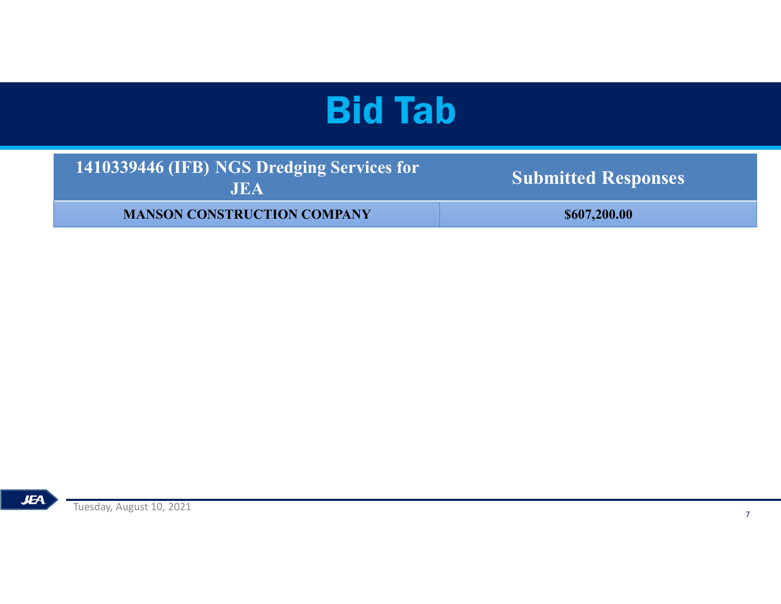| <b>Bid Tab</b>                                           |                            |  |  |  |
|----------------------------------------------------------|----------------------------|--|--|--|
| 1410339446 (IFB) NGS Dredging Services for<br><b>JEA</b> | <b>Submitted Responses</b> |  |  |  |
|                                                          |                            |  |  |  |
| <b>MANSON CONSTRUCTION COMPANY</b>                       | \$607,200.00               |  |  |  |
|                                                          |                            |  |  |  |

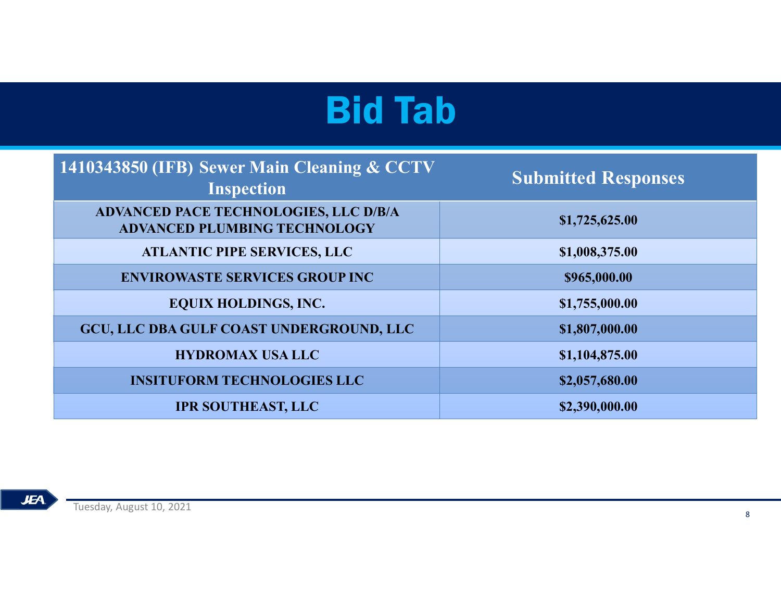| <b>Bid Tab</b>                                                               |                |  |  |
|------------------------------------------------------------------------------|----------------|--|--|
|                                                                              |                |  |  |
| ADVANCED PACE TECHNOLOGIES, LLC D/B/A<br><b>ADVANCED PLUMBING TECHNOLOGY</b> | \$1,725,625.00 |  |  |
| <b>ATLANTIC PIPE SERVICES, LLC</b>                                           | \$1,008,375.00 |  |  |
| <b>ENVIROWASTE SERVICES GROUP INC</b>                                        | \$965,000.00   |  |  |
| <b>EQUIX HOLDINGS, INC.</b>                                                  | \$1,755,000.00 |  |  |
| GCU, LLC DBA GULF COAST UNDERGROUND, LLC                                     | \$1,807,000.00 |  |  |
| <b>HYDROMAX USA LLC</b>                                                      | \$1,104,875.00 |  |  |
| <b>INSITUFORM TECHNOLOGIES LLC</b>                                           | \$2,057,680.00 |  |  |
| <b>IPR SOUTHEAST, LLC</b>                                                    | \$2,390,000.00 |  |  |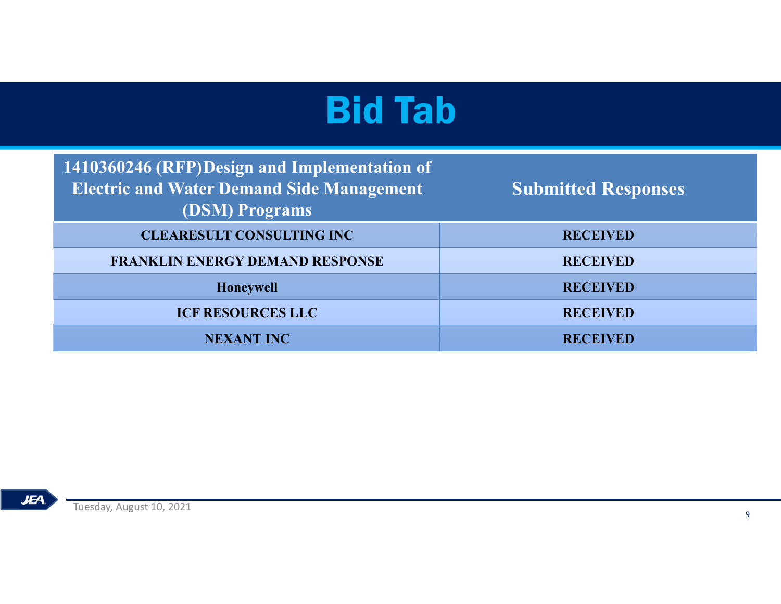| <b>Bid Tab</b>                                                                                                     |                            |  |
|--------------------------------------------------------------------------------------------------------------------|----------------------------|--|
| 1410360246 (RFP)Design and Implementation of<br><b>Electric and Water Demand Side Management</b><br>(DSM) Programs | <b>Submitted Responses</b> |  |
| <b>CLEARESULT CONSULTING INC</b>                                                                                   | <b>RECEIVED</b>            |  |
| <b>FRANKLIN ENERGY DEMAND RESPONSE</b>                                                                             | <b>RECEIVED</b>            |  |
| Honeywell                                                                                                          | <b>RECEIVED</b>            |  |
| <b>ICF RESOURCES LLC</b>                                                                                           | <b>RECEIVED</b>            |  |
| <b>NEXANT INC</b>                                                                                                  | <b>RECEIVED</b>            |  |
|                                                                                                                    |                            |  |

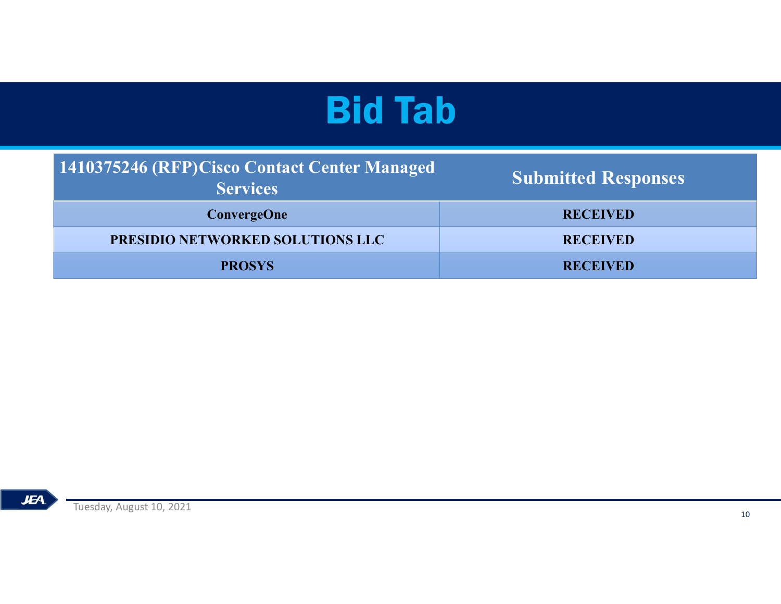| <b>Bid Tab</b>                                                   |                            |  |
|------------------------------------------------------------------|----------------------------|--|
| 1410375246 (RFP) Cisco Contact Center Managed<br><b>Services</b> | <b>Submitted Responses</b> |  |
| <b>ConvergeOne</b>                                               | <b>RECEIVED</b>            |  |
| PRESIDIO NETWORKED SOLUTIONS LLC                                 | <b>RECEIVED</b>            |  |
|                                                                  |                            |  |
| <b>PROSYS</b>                                                    | <b>RECEIVED</b>            |  |
|                                                                  |                            |  |